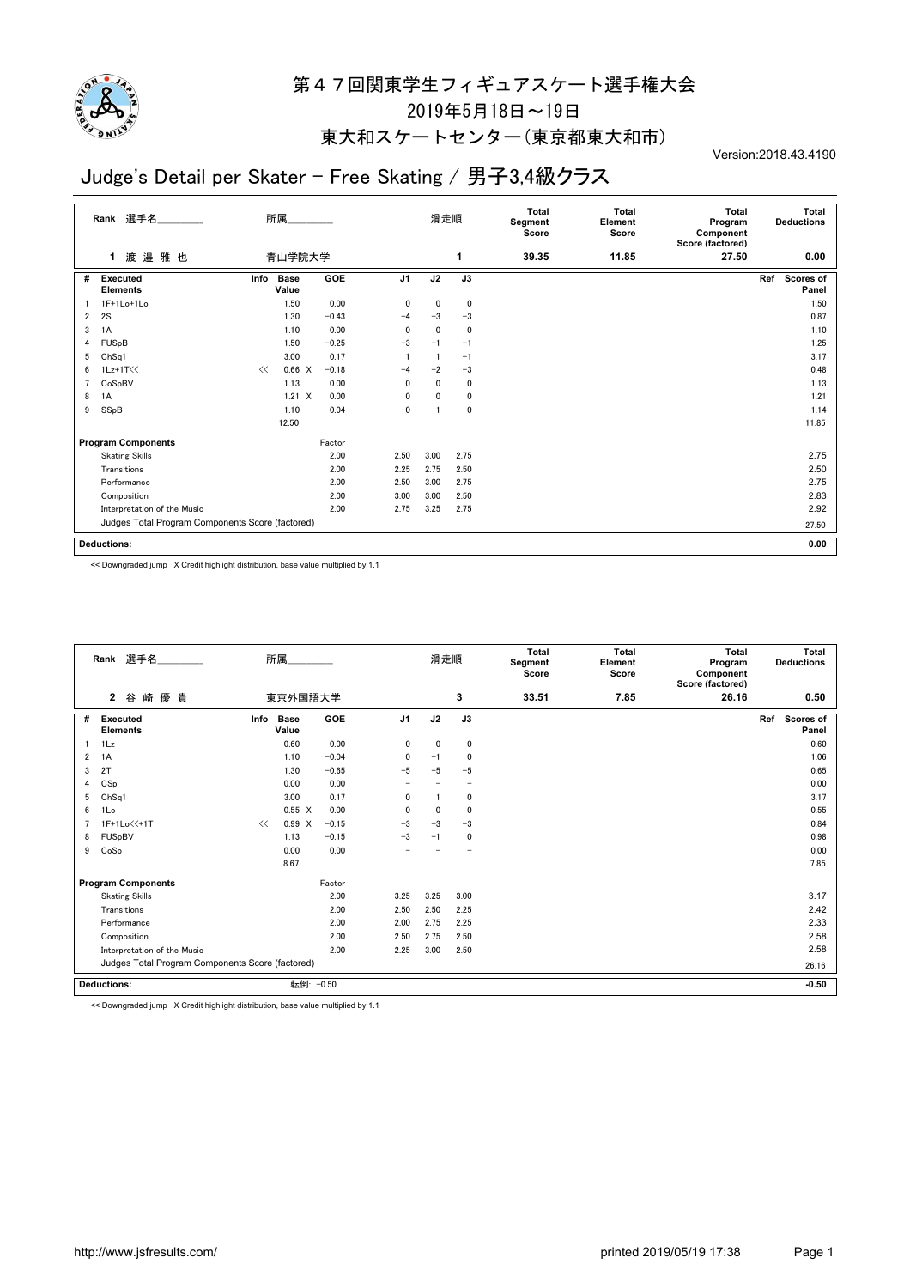

## 第47回関東学生フィギュアスケート選手権大会 2019年5月18日~19日

#### 東大和スケートセンター(東京都東大和市)

### Judge's Detail per Skater - Free Skating / 男子3,4級クラス

Version:2018.43.4190

| 選手名<br>Rank    |                                                  | 所属   |                      |            |                | 滑走順          |                 | <b>Total</b><br>Segment<br>Score | <b>Total</b><br>Element<br>Score | <b>Total</b><br>Program<br>Component<br>Score (factored) | Total<br><b>Deductions</b> |
|----------------|--------------------------------------------------|------|----------------------|------------|----------------|--------------|-----------------|----------------------------------|----------------------------------|----------------------------------------------------------|----------------------------|
|                | 渡邉雅也<br>1                                        |      | 青山学院大学               |            |                |              | 1               | 39.35                            | 11.85                            | 27.50                                                    | 0.00                       |
| #              | <b>Executed</b><br><b>Elements</b>               | Info | <b>Base</b><br>Value | <b>GOE</b> | J <sub>1</sub> | J2           | $\overline{J3}$ |                                  |                                  |                                                          | Scores of<br>Ref<br>Panel  |
|                | 1F+1Lo+1Lo                                       |      | 1.50                 | 0.00       | 0              | 0            | $\mathbf 0$     |                                  |                                  |                                                          | 1.50                       |
| $\overline{2}$ | 2S                                               |      | 1.30                 | $-0.43$    | $-4$           | $-3$         | $-3$            |                                  |                                  |                                                          | 0.87                       |
| 3              | 1A                                               |      | 1.10                 | 0.00       | 0              | 0            | 0               |                                  |                                  |                                                          | 1.10                       |
| 4              | FUSpB                                            |      | 1.50                 | $-0.25$    | $-3$           | $-1$         | $-1$            |                                  |                                  |                                                          | 1.25                       |
| 5              | ChSq1                                            |      | 3.00                 | 0.17       |                |              | $-1$            |                                  |                                  |                                                          | 3.17                       |
| 6              | $1Lz+1T<<$                                       | <<   | 0.66 X               | $-0.18$    | $-4$           | $-2$         | $-3$            |                                  |                                  |                                                          | 0.48                       |
| 7              | CoSpBV                                           |      | 1.13                 | 0.00       | 0              | $\mathbf{0}$ | $\mathbf{0}$    |                                  |                                  |                                                          | 1.13                       |
| 8              | 1A                                               |      | $1.21 \times$        | 0.00       | 0              | 0            | 0               |                                  |                                  |                                                          | 1.21                       |
| 9              | SSpB                                             |      | 1.10                 | 0.04       | $\mathbf 0$    |              | 0               |                                  |                                  |                                                          | 1.14                       |
|                |                                                  |      | 12.50                |            |                |              |                 |                                  |                                  |                                                          | 11.85                      |
|                | <b>Program Components</b>                        |      | Factor               |            |                |              |                 |                                  |                                  |                                                          |                            |
|                | <b>Skating Skills</b>                            |      |                      | 2.00       | 2.50           | 3.00         | 2.75            |                                  |                                  |                                                          | 2.75                       |
|                | Transitions                                      |      |                      | 2.00       | 2.25           | 2.75         | 2.50            |                                  |                                  |                                                          | 2.50                       |
|                | Performance                                      |      |                      | 2.00       | 2.50           | 3.00         | 2.75            |                                  |                                  |                                                          | 2.75                       |
|                | Composition                                      |      |                      | 2.00       | 3.00           | 3.00         | 2.50            |                                  |                                  |                                                          | 2.83                       |
|                | Interpretation of the Music                      |      |                      | 2.00       | 2.75           | 3.25         | 2.75            |                                  |                                  |                                                          | 2.92                       |
|                | Judges Total Program Components Score (factored) |      |                      |            |                |              |                 |                                  |                                  |                                                          | 27.50                      |
|                | Deductions:                                      |      |                      |            |                |              |                 |                                  |                                  |                                                          | 0.00                       |

<< Downgraded jump X Credit highlight distribution, base value multiplied by 1.1

|                               | Rank 選手名                                         |            | 所属                   |         | 滑走順            |              | Total<br>Segment<br>Score | Total<br>Element<br>Score | Total<br>Program<br>Component<br>Score (factored) | Total<br><b>Deductions</b> |                           |
|-------------------------------|--------------------------------------------------|------------|----------------------|---------|----------------|--------------|---------------------------|---------------------------|---------------------------------------------------|----------------------------|---------------------------|
| 優 貴<br>$\mathbf{2}$<br>崎<br>谷 |                                                  |            |                      | 東京外国語大学 |                |              | 3                         | 33.51                     | 7.85                                              | 26.16                      | 0.50                      |
| #                             | Executed<br><b>Elements</b>                      | Info       | <b>Base</b><br>Value | GOE     | J <sub>1</sub> | J2           | J3                        |                           |                                                   |                            | Ref<br>Scores of<br>Panel |
|                               | 1Lz                                              |            | 0.60                 | 0.00    | 0              | 0            | $\mathbf 0$               |                           |                                                   |                            | 0.60                      |
| 2                             | 1A                                               |            | 1.10                 | $-0.04$ | 0              | $-1$         | $\mathbf 0$               |                           |                                                   |                            | 1.06                      |
| 3                             | 2T                                               |            | 1.30                 | $-0.65$ | $-5$           | $-5$         | $-5$                      |                           |                                                   |                            | 0.65                      |
| 4                             | CSp                                              |            | 0.00                 | 0.00    |                |              |                           |                           |                                                   |                            | 0.00                      |
| 5                             | Ch <sub>Sq1</sub>                                |            | 3.00                 | 0.17    | 0              |              | $\mathbf 0$               |                           |                                                   |                            | 3.17                      |
| 6                             | 1Lo                                              |            | $0.55 \quad X$       | 0.00    | $\Omega$       | $\mathbf{0}$ | $\mathbf{0}$              |                           |                                                   |                            | 0.55                      |
|                               | 1F+1Lo<<+1T                                      | <<         | 0.99 X               | $-0.15$ | $-3$           | $-3$         | $-3$                      |                           |                                                   |                            | 0.84                      |
| 8                             | FUSpBV                                           |            | 1.13                 | $-0.15$ | $-3$           | $-1$         | $\mathbf 0$               |                           |                                                   |                            | 0.98                      |
| 9                             | CoSp                                             |            | 0.00                 | 0.00    |                |              |                           |                           |                                                   |                            | 0.00                      |
|                               |                                                  |            | 8.67                 |         |                |              |                           |                           |                                                   |                            | 7.85                      |
|                               | <b>Program Components</b>                        |            |                      | Factor  |                |              |                           |                           |                                                   |                            |                           |
|                               | <b>Skating Skills</b>                            |            |                      | 2.00    | 3.25           | 3.25         | 3.00                      |                           |                                                   |                            | 3.17                      |
|                               | Transitions                                      |            |                      | 2.00    | 2.50           | 2.50         | 2.25                      |                           |                                                   |                            | 2.42                      |
|                               | Performance                                      |            |                      | 2.00    | 2.00           | 2.75         | 2.25                      |                           |                                                   |                            | 2.33                      |
|                               | Composition                                      |            |                      | 2.00    | 2.50           | 2.75         | 2.50                      |                           |                                                   |                            | 2.58                      |
|                               | Interpretation of the Music                      |            |                      | 2.00    | 2.25           | 3.00         | 2.50                      |                           |                                                   |                            | 2.58                      |
|                               | Judges Total Program Components Score (factored) |            |                      |         |                |              |                           |                           |                                                   | 26.16                      |                           |
|                               | <b>Deductions:</b>                               | 転倒: - 0.50 |                      |         |                |              |                           |                           |                                                   | $-0.50$                    |                           |
|                               |                                                  |            |                      |         |                |              |                           |                           |                                                   |                            |                           |

<< Downgraded jump X Credit highlight distribution, base value multiplied by 1.1